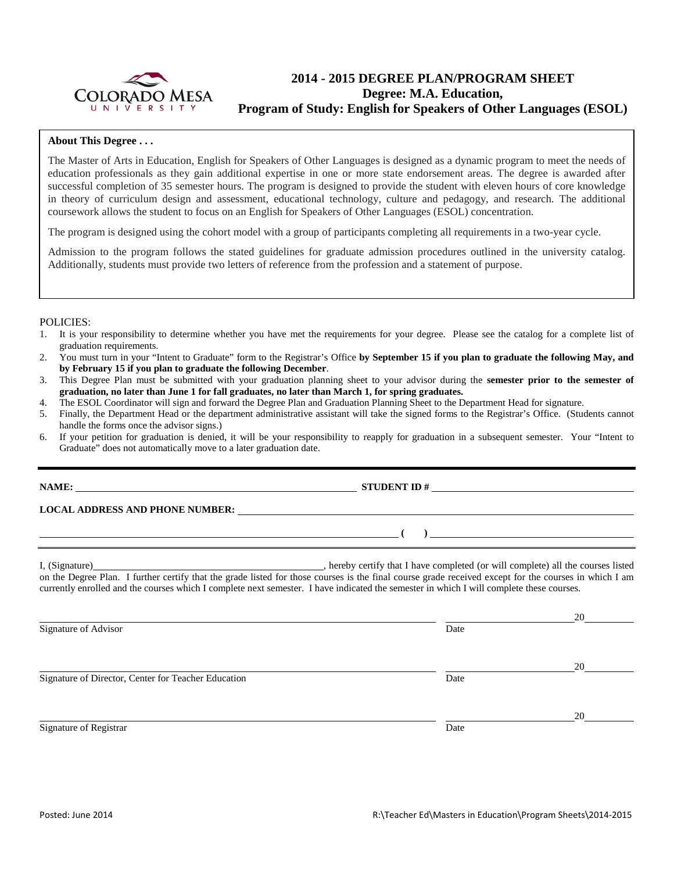

# **2014 - 2015 DEGREE PLAN/PROGRAM SHEET Degree: M.A. Education, Program of Study: English for Speakers of Other Languages (ESOL)**

### **About This Degree . . .**

The Master of Arts in Education, English for Speakers of Other Languages is designed as a dynamic program to meet the needs of education professionals as they gain additional expertise in one or more state endorsement areas. The degree is awarded after successful completion of 35 semester hours. The program is designed to provide the student with eleven hours of core knowledge in theory of curriculum design and assessment, educational technology, culture and pedagogy, and research. The additional coursework allows the student to focus on an English for Speakers of Other Languages (ESOL) concentration.

The program is designed using the cohort model with a group of participants completing all requirements in a two-year cycle.

Admission to the program follows the stated guidelines for graduate admission procedures outlined in the university catalog. Additionally, students must provide two letters of reference from the profession and a statement of purpose.

#### POLICIES:

- 1. It is your responsibility to determine whether you have met the requirements for your degree. Please see the catalog for a complete list of graduation requirements.
- 2. You must turn in your "Intent to Graduate" form to the Registrar's Office **by September 15 if you plan to graduate the following May, and by February 15 if you plan to graduate the following December**.
- 3. This Degree Plan must be submitted with your graduation planning sheet to your advisor during the **semester prior to the semester of graduation, no later than June 1 for fall graduates, no later than March 1, for spring graduates.**
- 4. The ESOL Coordinator will sign and forward the Degree Plan and Graduation Planning Sheet to the Department Head for signature.
- 5. Finally, the Department Head or the department administrative assistant will take the signed forms to the Registrar's Office. (Students cannot handle the forms once the advisor signs.)
- 6. If your petition for graduation is denied, it will be your responsibility to reapply for graduation in a subsequent semester. Your "Intent to Graduate" does not automatically move to a later graduation date.

|                                                     | LOCAL ADDRESS AND PHONE NUMBER: The material contract of the state of the state of the state of the state of the state of the state of the state of the state of the state of the state of the state of the state of the state                                                                                                                                                                                                          |    |
|-----------------------------------------------------|-----------------------------------------------------------------------------------------------------------------------------------------------------------------------------------------------------------------------------------------------------------------------------------------------------------------------------------------------------------------------------------------------------------------------------------------|----|
|                                                     | $\overline{a}$ (a) and the set of $\overline{a}$ and $\overline{a}$ and $\overline{a}$ and $\overline{a}$ and $\overline{a}$ and $\overline{a}$ and $\overline{a}$ and $\overline{a}$ and $\overline{a}$ and $\overline{a}$ and $\overline{a}$ and $\overline{a}$ and $\overline{a}$ and $\overline{a}$ and $\overline{a}$ an<br><u> 1989 - Johann Barn, fransk politik (d. 1989)</u>                                                   |    |
|                                                     | I, (Signature) example to the courses listed to the course is the course of the courses listed to the course of the courses listed<br>on the Degree Plan. I further certify that the grade listed for those courses is the final course grade received except for the courses in which I am<br>currently enrolled and the courses which I complete next semester. I have indicated the semester in which I will complete these courses. |    |
| Signature of Advisor                                | Date                                                                                                                                                                                                                                                                                                                                                                                                                                    |    |
| Signature of Director, Center for Teacher Education | Date                                                                                                                                                                                                                                                                                                                                                                                                                                    | 20 |

Signature of Registrar Date and Separature of Registrar Date and Separature of Registrar Date

20